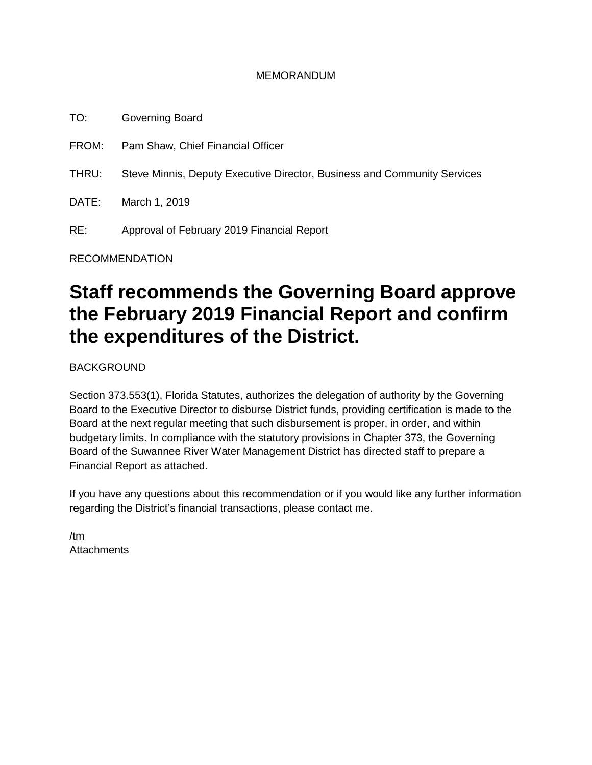#### MEMORANDUM

TO: Governing Board FROM: Pam Shaw, Chief Financial Officer THRU: Steve Minnis, Deputy Executive Director, Business and Community Services DATE: March 1, 2019 RE: Approval of February 2019 Financial Report

RECOMMENDATION

# **Staff recommends the Governing Board approve the February 2019 Financial Report and confirm the expenditures of the District.**

BACKGROUND

Section 373.553(1), Florida Statutes, authorizes the delegation of authority by the Governing Board to the Executive Director to disburse District funds, providing certification is made to the Board at the next regular meeting that such disbursement is proper, in order, and within budgetary limits. In compliance with the statutory provisions in Chapter 373, the Governing Board of the Suwannee River Water Management District has directed staff to prepare a Financial Report as attached.

If you have any questions about this recommendation or if you would like any further information regarding the District's financial transactions, please contact me.

/tm **Attachments**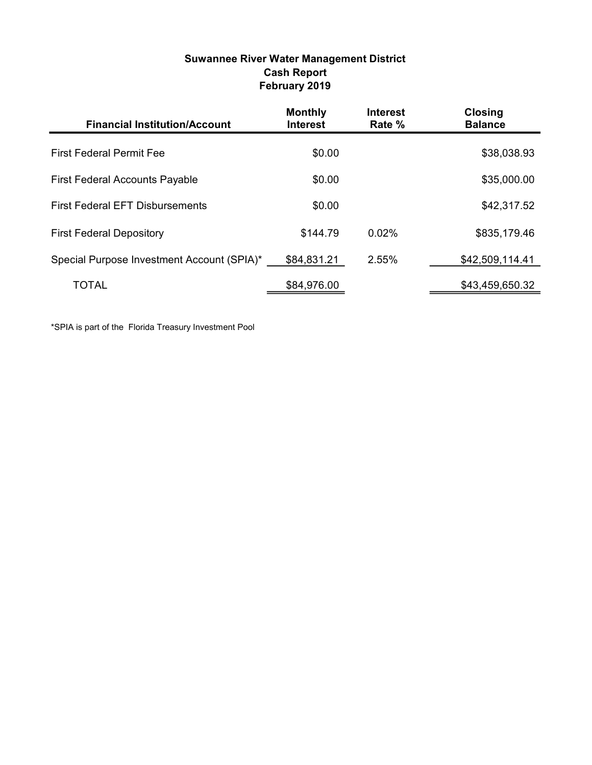| Suwannee River Water Management District |  |
|------------------------------------------|--|
| <b>Cash Report</b>                       |  |
| February 2019                            |  |

| <b>Financial Institution/Account</b>       | <b>Monthly</b><br><b>Interest</b> | <b>Interest</b><br>Rate % | <b>Closing</b><br><b>Balance</b> |
|--------------------------------------------|-----------------------------------|---------------------------|----------------------------------|
| <b>First Federal Permit Fee</b>            | \$0.00                            |                           | \$38,038.93                      |
| <b>First Federal Accounts Payable</b>      | \$0.00                            |                           | \$35,000.00                      |
| <b>First Federal EFT Disbursements</b>     | \$0.00                            |                           | \$42,317.52                      |
| <b>First Federal Depository</b>            | \$144.79                          | $0.02\%$                  | \$835,179.46                     |
| Special Purpose Investment Account (SPIA)* | \$84,831.21                       | 2.55%                     | \$42,509,114.41                  |
| TOTAL                                      | \$84,976.00                       |                           | \$43,459,650.32                  |

\*SPIA is part of the Florida Treasury Investment Pool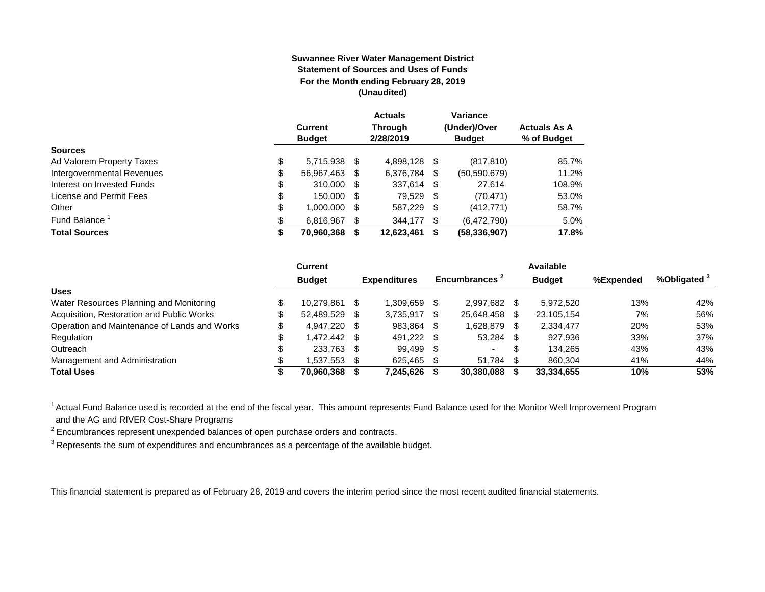#### **Suwannee River Water Management District Statement of Sources and Uses of Funds For the Month ending February 28, 2019 (Unaudited)**

|                            | <b>Current</b><br><b>Budget</b> | <b>Actuals</b><br><b>Through</b><br>2/28/2019 |     | Variance<br>(Under)/Over<br><b>Budget</b> | <b>Actuals As A</b><br>% of Budget |
|----------------------------|---------------------------------|-----------------------------------------------|-----|-------------------------------------------|------------------------------------|
| <b>Sources</b>             |                                 |                                               |     |                                           |                                    |
| Ad Valorem Property Taxes  | \$<br>5.715.938 \$              | 4.898.128 \$                                  |     | (817, 810)                                | 85.7%                              |
| Intergovernmental Revenues | \$<br>56,967,463 \$             | 6,376,784                                     | S   | (50, 590, 679)                            | 11.2%                              |
| Interest on Invested Funds | \$<br>310,000 \$                | 337,614 \$                                    |     | 27.614                                    | 108.9%                             |
| License and Permit Fees    | \$<br>150,000 \$                | 79,529 \$                                     |     | (70, 471)                                 | 53.0%                              |
| Other                      | \$<br>1,000,000 \$              | 587,229 \$                                    |     | (412, 771)                                | 58.7%                              |
| Fund Balance <sup>1</sup>  | \$<br>6,816,967                 | 344,177                                       | \$. | (6,472,790)                               | 5.0%                               |
| <b>Total Sources</b>       | \$<br>70,960,368                | 12,623,461                                    | S   | (58, 336, 907)                            | 17.8%                              |

|                                              | Current       |      |                     |      |                           |    | Available     |           |              |
|----------------------------------------------|---------------|------|---------------------|------|---------------------------|----|---------------|-----------|--------------|
|                                              | <b>Budget</b> |      | <b>Expenditures</b> |      | Encumbrances <sup>2</sup> |    | <b>Budget</b> | %Expended | %Obligated ° |
| <b>Uses</b>                                  |               |      |                     |      |                           |    |               |           |              |
| Water Resources Planning and Monitoring      | 10.279.861    |      | 1.309.659           |      | 2.997.682                 |    | 5.972.520     | 13%       | 42%          |
| Acquisition, Restoration and Public Works    | 52.489.529    | - \$ | 3.735.917           |      | 25,648,458                | S  | 23.105.154    | 7%        | 56%          |
| Operation and Maintenance of Lands and Works | 4.947.220 \$  |      | 983.864             | \$.  | 1.628.879                 |    | 2,334,477     | 20%       | 53%          |
| Regulation                                   | \$ 472.442.   |      | 491,222             | - \$ | 53,284                    | \$ | 927.936       | 33%       | 37%          |
| Outreach                                     | 233,763       | - \$ | 99.499              | -S   | $\overline{\phantom{0}}$  | S  | 134.265       | 43%       | 43%          |
| Management and Administration                | .537.553      |      | 625.465             |      | 51.784                    |    | 860.304       | 41%       | 44%          |
| <b>Total Uses</b>                            | 70,960,368    |      | 7,245,626           |      | 30,380,088                |    | 33,334,655    | 10%       | 53%          |

<sup>1</sup> Actual Fund Balance used is recorded at the end of the fiscal year. This amount represents Fund Balance used for the Monitor Well Improvement Program and the AG and RIVER Cost-Share Programs

 $2$  Encumbrances represent unexpended balances of open purchase orders and contracts.

 $3$  Represents the sum of expenditures and encumbrances as a percentage of the available budget.

This financial statement is prepared as of February 28, 2019 and covers the interim period since the most recent audited financial statements.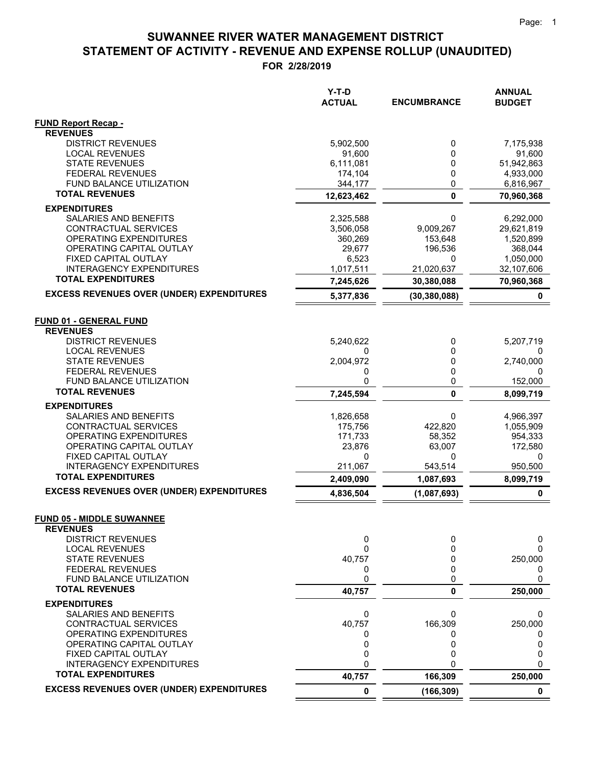**FOR 2/28/2019**

|                                                              | $Y-T-D$<br><b>ACTUAL</b> | <b>ENCUMBRANCE</b> | <b>ANNUAL</b><br><b>BUDGET</b> |
|--------------------------------------------------------------|--------------------------|--------------------|--------------------------------|
| <b>FUND Report Recap -</b>                                   |                          |                    |                                |
| <b>REVENUES</b>                                              |                          |                    |                                |
| <b>DISTRICT REVENUES</b>                                     | 5,902,500                | 0                  | 7,175,938                      |
| <b>LOCAL REVENUES</b>                                        | 91,600                   | 0                  | 91,600                         |
| <b>STATE REVENUES</b>                                        | 6,111,081                | 0                  | 51,942,863                     |
| <b>FEDERAL REVENUES</b><br>FUND BALANCE UTILIZATION          | 174,104<br>344,177       | 0<br>0             | 4,933,000<br>6,816,967         |
| <b>TOTAL REVENUES</b>                                        | 12,623,462               | $\mathbf 0$        | 70,960,368                     |
| <b>EXPENDITURES</b>                                          |                          |                    |                                |
| SALARIES AND BENEFITS                                        | 2,325,588                | 0                  | 6,292,000                      |
| CONTRACTUAL SERVICES                                         | 3,506,058                | 9,009,267          | 29,621,819                     |
| OPERATING EXPENDITURES                                       | 360,269                  | 153,648            | 1,520,899                      |
| OPERATING CAPITAL OUTLAY                                     | 29,677                   | 196,536            | 368,044                        |
| FIXED CAPITAL OUTLAY                                         | 6,523                    | 0                  | 1,050,000                      |
| <b>INTERAGENCY EXPENDITURES</b>                              | 1,017,511                | 21,020,637         | 32,107,606                     |
| <b>TOTAL EXPENDITURES</b>                                    | 7,245,626                | 30,380,088         | 70,960,368                     |
| <b>EXCESS REVENUES OVER (UNDER) EXPENDITURES</b>             | 5,377,836                | (30, 380, 088)     | 0                              |
|                                                              |                          |                    |                                |
| <b>FUND 01 - GENERAL FUND</b>                                |                          |                    |                                |
| <b>REVENUES</b>                                              |                          |                    |                                |
| <b>DISTRICT REVENUES</b>                                     | 5,240,622                | 0                  | 5,207,719                      |
| <b>LOCAL REVENUES</b>                                        | 0                        | 0                  | 0                              |
| <b>STATE REVENUES</b>                                        | 2,004,972                | 0                  | 2,740,000                      |
| <b>FEDERAL REVENUES</b>                                      | 0                        | 0                  | 0                              |
| FUND BALANCE UTILIZATION<br><b>TOTAL REVENUES</b>            | 0                        | 0                  | 152,000                        |
|                                                              | 7,245,594                | $\mathbf{0}$       | 8,099,719                      |
| <b>EXPENDITURES</b>                                          |                          |                    |                                |
| SALARIES AND BENEFITS                                        | 1,826,658                | 0                  | 4,966,397                      |
| CONTRACTUAL SERVICES<br>OPERATING EXPENDITURES               | 175,756<br>171,733       | 422,820<br>58,352  | 1,055,909<br>954,333           |
| OPERATING CAPITAL OUTLAY                                     | 23,876                   | 63,007             | 172,580                        |
| FIXED CAPITAL OUTLAY                                         | 0                        | 0                  | 0                              |
| <b>INTERAGENCY EXPENDITURES</b>                              | 211,067                  | 543,514            | 950,500                        |
| <b>TOTAL EXPENDITURES</b>                                    | 2,409,090                | 1,087,693          | 8,099,719                      |
| <b>EXCESS REVENUES OVER (UNDER) EXPENDITURES</b>             | 4,836,504                | (1,087,693)        | 0                              |
|                                                              |                          |                    |                                |
| <b>FUND 05 - MIDDLE SUWANNEE</b><br><b>REVENUES</b>          |                          |                    |                                |
| <b>DISTRICT REVENUES</b>                                     | 0                        | 0                  | 0                              |
| <b>LOCAL REVENUES</b>                                        | 0                        | 0                  | 0                              |
| <b>STATE REVENUES</b>                                        | 40,757                   | 0                  | 250,000                        |
| <b>FEDERAL REVENUES</b>                                      | 0                        | 0                  | 0                              |
| FUND BALANCE UTILIZATION                                     | 0                        | 0                  | 0                              |
| <b>TOTAL REVENUES</b>                                        | 40,757                   | 0                  | 250,000                        |
| <b>EXPENDITURES</b>                                          |                          |                    |                                |
| SALARIES AND BENEFITS                                        | 0                        | 0                  | 0                              |
| CONTRACTUAL SERVICES                                         | 40,757                   | 166,309            | 250,000                        |
| OPERATING EXPENDITURES                                       | 0                        | 0                  | 0                              |
| OPERATING CAPITAL OUTLAY                                     | 0                        | 0                  | 0                              |
| FIXED CAPITAL OUTLAY                                         | 0<br>0                   | 0<br>O             | 0<br>0                         |
| <b>INTERAGENCY EXPENDITURES</b><br><b>TOTAL EXPENDITURES</b> | 40,757                   | 166,309            | 250,000                        |
| <b>EXCESS REVENUES OVER (UNDER) EXPENDITURES</b>             |                          |                    |                                |
|                                                              | $\pmb{0}$                | (166, 309)         | $\mathbf 0$                    |

 $=$  $\equiv$   $=$   $=$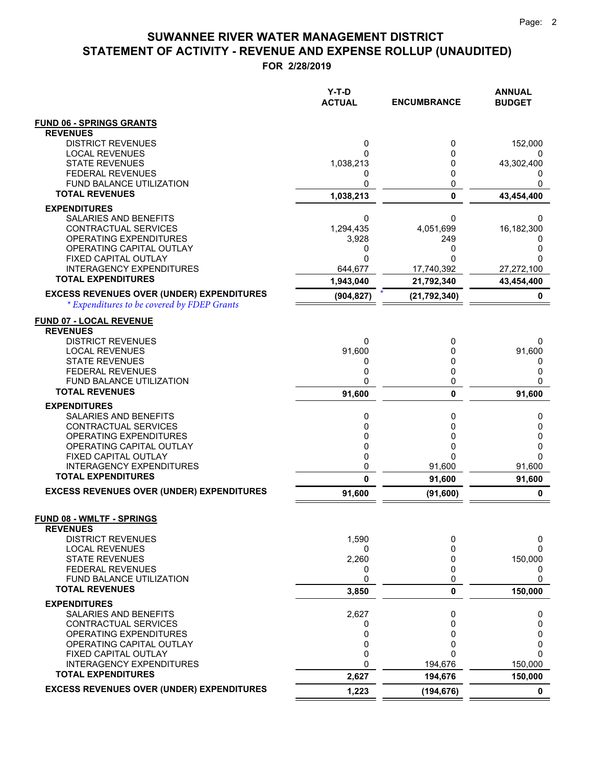**FOR 2/28/2019**

|                                                    | Y-T-D<br><b>ACTUAL</b> | <b>ENCUMBRANCE</b> | <b>ANNUAL</b><br><b>BUDGET</b> |
|----------------------------------------------------|------------------------|--------------------|--------------------------------|
| <b>FUND 06 - SPRINGS GRANTS</b>                    |                        |                    |                                |
| <b>REVENUES</b>                                    |                        |                    |                                |
| <b>DISTRICT REVENUES</b>                           | 0                      | 0                  | 152,000                        |
| <b>LOCAL REVENUES</b><br><b>STATE REVENUES</b>     | 1,038,213              | 0<br>0             | 0<br>43,302,400                |
| <b>FEDERAL REVENUES</b>                            | 0                      | 0                  | $\mathbf{0}$                   |
| FUND BALANCE UTILIZATION                           | 0                      | 0                  | 0                              |
| <b>TOTAL REVENUES</b>                              | 1,038,213              | $\mathbf 0$        | 43,454,400                     |
| <b>EXPENDITURES</b>                                |                        |                    |                                |
| SALARIES AND BENEFITS                              | 0                      | 0                  | 0                              |
| CONTRACTUAL SERVICES                               | 1,294,435              | 4,051,699          | 16,182,300                     |
| OPERATING EXPENDITURES<br>OPERATING CAPITAL OUTLAY | 3,928<br>0             | 249<br>0           | 0                              |
| FIXED CAPITAL OUTLAY                               | 0                      | $\Omega$           | ი                              |
| <b>INTERAGENCY EXPENDITURES</b>                    | 644,677                | 17,740,392         | 27,272,100                     |
| <b>TOTAL EXPENDITURES</b>                          | 1,943,040              | 21,792,340         | 43,454,400                     |
| <b>EXCESS REVENUES OVER (UNDER) EXPENDITURES</b>   | (904, 827)             | (21, 792, 340)     | 0                              |
| * Expenditures to be covered by FDEP Grants        |                        |                    |                                |
| <b>FUND 07 - LOCAL REVENUE</b>                     |                        |                    |                                |
| <b>REVENUES</b>                                    |                        |                    |                                |
| <b>DISTRICT REVENUES</b>                           | 0                      | 0                  | 0                              |
| <b>LOCAL REVENUES</b><br><b>STATE REVENUES</b>     | 91,600                 | 0                  | 91,600                         |
| <b>FEDERAL REVENUES</b>                            | 0<br>0                 | 0<br>0             | 0<br>0                         |
| <b>FUND BALANCE UTILIZATION</b>                    | 0                      | 0                  | 0                              |
| <b>TOTAL REVENUES</b>                              | 91,600                 | $\mathbf{0}$       | 91,600                         |
| <b>EXPENDITURES</b>                                |                        |                    |                                |
| SALARIES AND BENEFITS                              | 0                      | 0                  | 0                              |
| CONTRACTUAL SERVICES                               | 0                      | 0                  | 0                              |
| OPERATING EXPENDITURES<br>OPERATING CAPITAL OUTLAY | 0<br>0                 | 0<br>0             | 0<br>0                         |
| FIXED CAPITAL OUTLAY                               | 0                      | $\Omega$           | 0                              |
| <b>INTERAGENCY EXPENDITURES</b>                    | 0                      | 91,600             | 91,600                         |
| <b>TOTAL EXPENDITURES</b>                          | 0                      | 91,600             | 91,600                         |
| <b>EXCESS REVENUES OVER (UNDER) EXPENDITURES</b>   | 91,600                 | (91, 600)          | 0                              |
| <b>FUND 08 - WMLTF - SPRINGS</b>                   |                        |                    |                                |
| <b>REVENUES</b>                                    |                        |                    |                                |
| <b>DISTRICT REVENUES</b>                           | 1,590                  | 0                  | 0                              |
| <b>LOCAL REVENUES</b><br><b>STATE REVENUES</b>     | 0<br>2,260             | 0<br>0             | 0<br>150,000                   |
| <b>FEDERAL REVENUES</b>                            | 0                      | 0                  | 0                              |
| FUND BALANCE UTILIZATION                           | 0                      | 0                  | 0                              |
| <b>TOTAL REVENUES</b>                              | 3,850                  | 0                  | 150,000                        |
| <b>EXPENDITURES</b>                                |                        |                    |                                |
| SALARIES AND BENEFITS                              | 2,627                  | 0                  | 0                              |
| <b>CONTRACTUAL SERVICES</b>                        | 0                      | 0                  | 0                              |
| OPERATING EXPENDITURES<br>OPERATING CAPITAL OUTLAY | 0<br>0                 | 0<br>0             | 0<br>0                         |
| FIXED CAPITAL OUTLAY                               | 0                      | 0                  | 0                              |
| <b>INTERAGENCY EXPENDITURES</b>                    | 0                      | 194,676            | 150,000                        |
| <b>TOTAL EXPENDITURES</b>                          | 2,627                  | 194,676            | 150,000                        |
| <b>EXCESS REVENUES OVER (UNDER) EXPENDITURES</b>   | 1,223                  | (194, 676)         | $\mathbf 0$                    |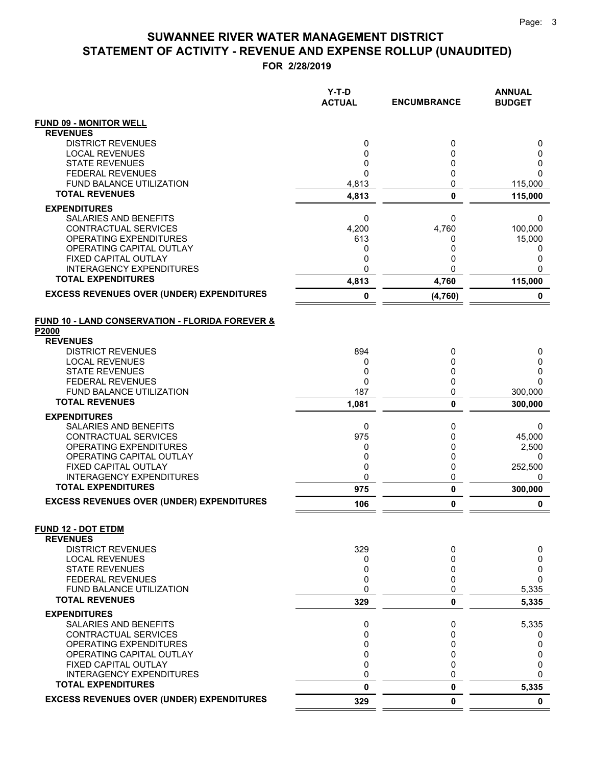**FOR 2/28/2019**

|                                                          | Y-T-D<br><b>ACTUAL</b> | <b>ENCUMBRANCE</b> | <b>ANNUAL</b><br><b>BUDGET</b> |
|----------------------------------------------------------|------------------------|--------------------|--------------------------------|
| <b>FUND 09 - MONITOR WELL</b>                            |                        |                    |                                |
| <b>REVENUES</b>                                          |                        |                    |                                |
| <b>DISTRICT REVENUES</b><br><b>LOCAL REVENUES</b>        | 0                      | 0<br>0             | 0                              |
| <b>STATE REVENUES</b>                                    | 0<br>0                 | 0                  | 0<br>0                         |
| <b>FEDERAL REVENUES</b>                                  | $\mathbf{0}$           | $\mathbf 0$        | 0                              |
| <b>FUND BALANCE UTILIZATION</b>                          | 4,813                  | 0                  | 115,000                        |
| <b>TOTAL REVENUES</b>                                    | 4,813                  | $\mathbf{0}$       | 115,000                        |
| <b>EXPENDITURES</b>                                      |                        |                    |                                |
| <b>SALARIES AND BENEFITS</b>                             | 0                      | 0                  | 0                              |
| <b>CONTRACTUAL SERVICES</b>                              | 4,200                  | 4,760              | 100,000                        |
| OPERATING EXPENDITURES<br>OPERATING CAPITAL OUTLAY       | 613<br>0               | 0<br>0             | 15,000                         |
| <b>FIXED CAPITAL OUTLAY</b>                              | 0                      | 0                  | 0<br>0                         |
| <b>INTERAGENCY EXPENDITURES</b>                          | 0                      | 0                  | 0                              |
| <b>TOTAL EXPENDITURES</b>                                | 4,813                  | 4,760              | 115,000                        |
| <b>EXCESS REVENUES OVER (UNDER) EXPENDITURES</b>         | 0                      | (4,760)            | 0                              |
| FUND 10 - LAND CONSERVATION - FLORIDA FOREVER &<br>P2000 |                        |                    |                                |
| <b>REVENUES</b>                                          |                        |                    |                                |
| <b>DISTRICT REVENUES</b>                                 | 894                    | 0                  | 0                              |
| <b>LOCAL REVENUES</b><br><b>STATE REVENUES</b>           | 0<br>0                 | 0<br>0             | 0<br>0                         |
| <b>FEDERAL REVENUES</b>                                  | 0                      | 0                  | 0                              |
| <b>FUND BALANCE UTILIZATION</b>                          | 187                    | 0                  | 300,000                        |
| <b>TOTAL REVENUES</b>                                    | 1,081                  | $\mathbf{0}$       | 300,000                        |
| <b>EXPENDITURES</b>                                      |                        |                    |                                |
| SALARIES AND BENEFITS                                    | 0                      | 0                  | 0                              |
| CONTRACTUAL SERVICES                                     | 975                    | 0                  | 45,000                         |
| OPERATING EXPENDITURES<br>OPERATING CAPITAL OUTLAY       | 0<br>0                 | 0<br>0             | 2,500<br>0                     |
| FIXED CAPITAL OUTLAY                                     | 0                      | 0                  | 252,500                        |
| <b>INTERAGENCY EXPENDITURES</b>                          | 0                      | 0                  | 0                              |
| <b>TOTAL EXPENDITURES</b>                                | 975                    | $\pmb{0}$          | 300,000                        |
| <b>EXCESS REVENUES OVER (UNDER) EXPENDITURES</b>         | 106                    | 0                  | 0                              |
| <b>FUND 12 - DOT ETDM</b>                                |                        |                    |                                |
| <b>REVENUES</b><br><b>DISTRICT REVENUES</b>              | 329                    | 0                  | 0                              |
| <b>LOCAL REVENUES</b>                                    | 0                      | 0                  | 0                              |
| <b>STATE REVENUES</b>                                    | 0                      | 0                  | 0                              |
| <b>FEDERAL REVENUES</b>                                  | 0                      | 0                  | 0                              |
| <b>FUND BALANCE UTILIZATION</b>                          | 0                      | 0                  | 5,335                          |
| <b>TOTAL REVENUES</b>                                    | 329                    | 0                  | 5,335                          |
| <b>EXPENDITURES</b>                                      |                        |                    |                                |
| SALARIES AND BENEFITS                                    | 0                      | 0                  | 5,335                          |
| CONTRACTUAL SERVICES<br><b>OPERATING EXPENDITURES</b>    | 0<br>0                 | 0<br>0             | 0<br>0                         |
| OPERATING CAPITAL OUTLAY                                 | $\mathbf 0$            | 0                  | 0                              |
| <b>FIXED CAPITAL OUTLAY</b>                              | 0                      | 0                  | 0                              |
| <b>INTERAGENCY EXPENDITURES</b>                          | 0                      | 0                  | 0                              |
| <b>TOTAL EXPENDITURES</b>                                | 0                      | 0                  | 5,335                          |
| <b>EXCESS REVENUES OVER (UNDER) EXPENDITURES</b>         | 329                    | 0                  | $\mathbf 0$                    |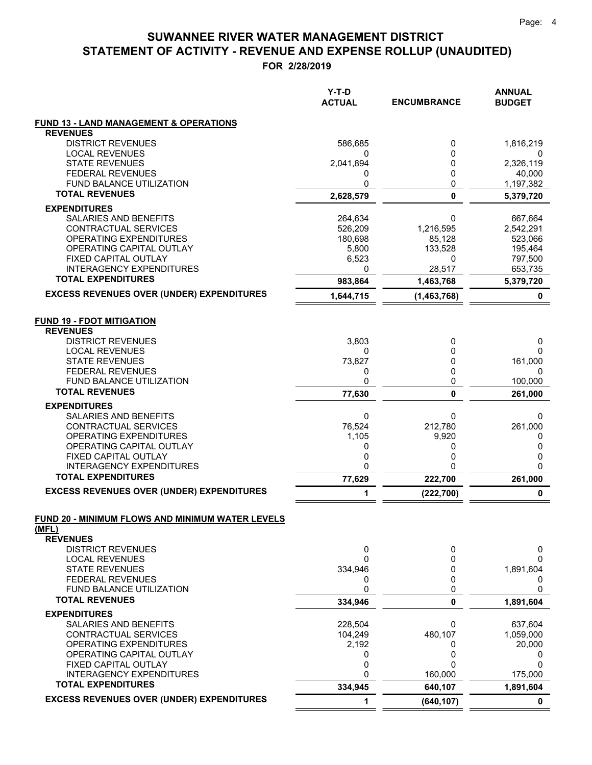**FOR 2/28/2019**

|                                                         | Y-T-D<br><b>ACTUAL</b> | <b>ENCUMBRANCE</b>    | <b>ANNUAL</b><br><b>BUDGET</b> |
|---------------------------------------------------------|------------------------|-----------------------|--------------------------------|
| <b>FUND 13 - LAND MANAGEMENT &amp; OPERATIONS</b>       |                        |                       |                                |
| <b>REVENUES</b>                                         |                        |                       |                                |
| <b>DISTRICT REVENUES</b>                                | 586,685                | 0                     | 1,816,219                      |
| <b>LOCAL REVENUES</b><br><b>STATE REVENUES</b>          | 2,041,894              | 0<br>0                | 0<br>2,326,119                 |
| <b>FEDERAL REVENUES</b>                                 | 0                      | 0                     | 40,000                         |
| <b>FUND BALANCE UTILIZATION</b>                         | 0                      | 0                     | 1,197,382                      |
| <b>TOTAL REVENUES</b>                                   | 2,628,579              | 0                     | 5,379,720                      |
| <b>EXPENDITURES</b>                                     |                        |                       |                                |
| SALARIES AND BENEFITS                                   | 264,634                | 0                     | 667,664                        |
| <b>CONTRACTUAL SERVICES</b>                             | 526,209                | 1,216,595             | 2,542,291                      |
| OPERATING EXPENDITURES                                  | 180,698                | 85,128                | 523,066                        |
| OPERATING CAPITAL OUTLAY                                | 5,800                  | 133,528               | 195,464                        |
| FIXED CAPITAL OUTLAY<br><b>INTERAGENCY EXPENDITURES</b> | 6,523<br>0             | 0<br>28,517           | 797,500<br>653,735             |
| <b>TOTAL EXPENDITURES</b>                               | 983,864                | 1,463,768             | 5,379,720                      |
| <b>EXCESS REVENUES OVER (UNDER) EXPENDITURES</b>        | 1,644,715              | (1,463,768)           | 0                              |
| <b>FUND 19 - FDOT MITIGATION</b>                        |                        |                       |                                |
| <b>REVENUES</b>                                         |                        |                       |                                |
| <b>DISTRICT REVENUES</b>                                | 3,803                  | 0                     | 0                              |
| <b>LOCAL REVENUES</b>                                   | 0                      | 0                     | 0                              |
| <b>STATE REVENUES</b>                                   | 73,827                 | 0<br>0                | 161,000                        |
| <b>FEDERAL REVENUES</b><br>FUND BALANCE UTILIZATION     | 0<br>0                 | 0                     | 0<br>100,000                   |
| <b>TOTAL REVENUES</b>                                   | 77,630                 | 0                     | 261,000                        |
| <b>EXPENDITURES</b>                                     |                        |                       |                                |
| SALARIES AND BENEFITS                                   | 0                      | 0                     | 0                              |
| CONTRACTUAL SERVICES                                    | 76,524                 | 212,780               | 261,000                        |
| OPERATING EXPENDITURES                                  | 1,105                  | 9,920                 | 0                              |
| OPERATING CAPITAL OUTLAY                                | 0                      | 0                     | 0                              |
| FIXED CAPITAL OUTLAY<br><b>INTERAGENCY EXPENDITURES</b> | 0<br>0                 | 0<br>0                | 0<br>0                         |
| <b>TOTAL EXPENDITURES</b>                               | 77,629                 | 222,700               | 261,000                        |
| <b>EXCESS REVENUES OVER (UNDER) EXPENDITURES</b>        | 1                      | (222, 700)            | 0                              |
| FUND 20 - MINIMUM FLOWS AND MINIMUM WATER LEVELS        |                        |                       |                                |
| (MFL)                                                   |                        |                       |                                |
| <b>REVENUES</b>                                         |                        |                       |                                |
| <b>DISTRICT REVENUES</b>                                | 0                      | 0                     | 0                              |
| <b>LOCAL REVENUES</b>                                   | 0                      | 0                     | 0                              |
| <b>STATE REVENUES</b>                                   | 334,946                | 0<br>0                | 1,891,604                      |
| <b>FEDERAL REVENUES</b><br>FUND BALANCE UTILIZATION     | 0<br>0                 | 0                     | 0<br>0                         |
| <b>TOTAL REVENUES</b>                                   | 334,946                | 0                     | 1,891,604                      |
| <b>EXPENDITURES</b>                                     |                        |                       |                                |
| <b>SALARIES AND BENEFITS</b>                            | 228,504                | 0                     | 637,604                        |
| CONTRACTUAL SERVICES                                    | 104,249                | 480,107               | 1,059,000                      |
| OPERATING EXPENDITURES                                  | 2,192                  | 0                     | 20,000                         |
| OPERATING CAPITAL OUTLAY                                | 0                      | 0                     | 0                              |
| FIXED CAPITAL OUTLAY<br><b>INTERAGENCY EXPENDITURES</b> | 0<br>0                 | 0<br>160,000          | 0                              |
| <b>TOTAL EXPENDITURES</b>                               |                        |                       | 175,000                        |
| <b>EXCESS REVENUES OVER (UNDER) EXPENDITURES</b>        | 334,945<br>1           | 640,107<br>(640, 107) | 1,891,604<br>0                 |
|                                                         |                        |                       |                                |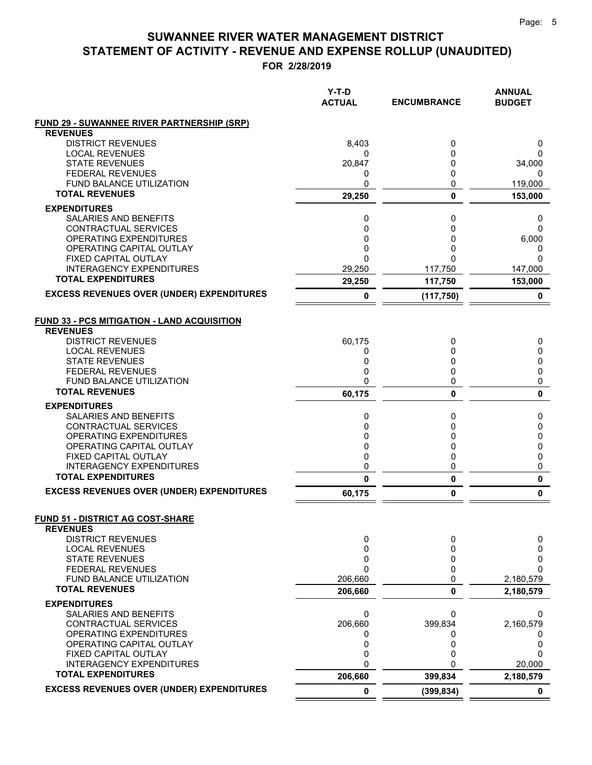**FOR 2/28/2019**

|                                                          | $Y-T-D$<br><b>ACTUAL</b> | <b>ENCUMBRANCE</b> | <b>ANNUAL</b><br><b>BUDGET</b> |
|----------------------------------------------------------|--------------------------|--------------------|--------------------------------|
| <b>FUND 29 - SUWANNEE RIVER PARTNERSHIP (SRP)</b>        |                          |                    |                                |
| <b>REVENUES</b><br><b>DISTRICT REVENUES</b>              | 8,403                    | 0                  |                                |
| <b>LOCAL REVENUES</b>                                    | 0                        | 0                  | 0<br>0                         |
| <b>STATE REVENUES</b>                                    | 20,847                   | 0                  | 34,000                         |
| <b>FEDERAL REVENUES</b>                                  | 0                        | 0                  | 0                              |
| <b>FUND BALANCE UTILIZATION</b>                          | 0                        | 0                  | 119,000                        |
| <b>TOTAL REVENUES</b>                                    | 29,250                   | 0                  | 153,000                        |
| <b>EXPENDITURES</b>                                      |                          |                    |                                |
| SALARIES AND BENEFITS                                    | 0                        | 0                  | 0                              |
| CONTRACTUAL SERVICES                                     | 0                        | 0                  | 0                              |
| OPERATING EXPENDITURES                                   | 0                        | 0                  | 6,000                          |
| OPERATING CAPITAL OUTLAY                                 | 0                        | 0                  | 0                              |
| FIXED CAPITAL OUTLAY                                     | $\Omega$                 | O                  | 0                              |
| <b>INTERAGENCY EXPENDITURES</b>                          | 29,250                   | 117,750            | 147,000                        |
| <b>TOTAL EXPENDITURES</b>                                | 29,250                   | 117,750            | 153,000                        |
| <b>EXCESS REVENUES OVER (UNDER) EXPENDITURES</b>         | 0                        | (117, 750)         | $\mathbf 0$                    |
| <b>FUND 33 - PCS MITIGATION - LAND ACQUISITION</b>       |                          |                    |                                |
| <b>REVENUES</b>                                          |                          |                    |                                |
| <b>DISTRICT REVENUES</b>                                 | 60,175                   | 0                  | 0                              |
| <b>LOCAL REVENUES</b>                                    | 0                        | 0                  | 0                              |
| <b>STATE REVENUES</b>                                    | 0                        | 0                  | 0                              |
| <b>FEDERAL REVENUES</b>                                  | 0                        | 0                  | 0                              |
| <b>FUND BALANCE UTILIZATION</b><br><b>TOTAL REVENUES</b> | $\Omega$                 | 0                  | 0                              |
|                                                          | 60,175                   | 0                  | 0                              |
| <b>EXPENDITURES</b>                                      |                          |                    |                                |
| SALARIES AND BENEFITS                                    | 0                        | 0                  | 0                              |
| CONTRACTUAL SERVICES                                     | 0<br>0                   | 0<br>0             | 0                              |
| OPERATING EXPENDITURES<br>OPERATING CAPITAL OUTLAY       | 0                        | 0                  | 0<br>0                         |
| FIXED CAPITAL OUTLAY                                     | 0                        | 0                  | 0                              |
| <b>INTERAGENCY EXPENDITURES</b>                          | 0                        | 0                  | 0                              |
| <b>TOTAL EXPENDITURES</b>                                | 0                        | 0                  | 0                              |
| <b>EXCESS REVENUES OVER (UNDER) EXPENDITURES</b>         | 60,175                   | 0                  | $\pmb{0}$                      |
| <b>FUND 51 - DISTRICT AG COST-SHARE</b>                  |                          |                    |                                |
| <b>REVENUES</b>                                          |                          |                    |                                |
| <b>DISTRICT REVENUES</b><br><b>LOCAL REVENUES</b>        | 0<br>0                   | 0<br>0             | 0<br>0                         |
| <b>STATE REVENUES</b>                                    | 0                        | 0                  | 0                              |
| FEDERAL REVENUES                                         | 0                        | 0                  | 0                              |
| FUND BALANCE UTILIZATION                                 | 206,660                  | 0                  | 2,180,579                      |
| <b>TOTAL REVENUES</b>                                    | 206,660                  | 0                  | 2,180,579                      |
| <b>EXPENDITURES</b>                                      |                          |                    |                                |
| SALARIES AND BENEFITS                                    | 0                        | 0                  | 0                              |
| CONTRACTUAL SERVICES                                     | 206,660                  | 399,834            | 2,160,579                      |
| OPERATING EXPENDITURES                                   | 0                        |                    | 0                              |
| OPERATING CAPITAL OUTLAY                                 | 0                        | 0                  | 0                              |
| FIXED CAPITAL OUTLAY                                     | 0                        | 0                  | 0                              |
| <b>INTERAGENCY EXPENDITURES</b>                          | 0                        | O                  | 20,000                         |
| <b>TOTAL EXPENDITURES</b>                                | 206,660                  | 399,834            | 2,180,579                      |
| <b>EXCESS REVENUES OVER (UNDER) EXPENDITURES</b>         | 0                        | (399, 834)         | 0                              |

 $=$  $\equiv$   $=$   $=$